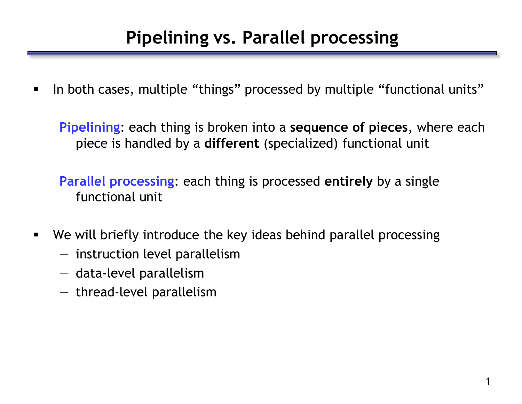In both cases, multiple "things" processed by multiple "functional units"

**Pipelining**: each thing is broken into a **sequence of pieces**, where each piece is handled by a **different** (specialized) functional unit

**Parallel processing**: each thing is processed **entirely** by a single functional unit

- We will briefly introduce the key ideas behind parallel processing
	- instruction level parallelism
	- data-level parallelism
	- thread-level parallelism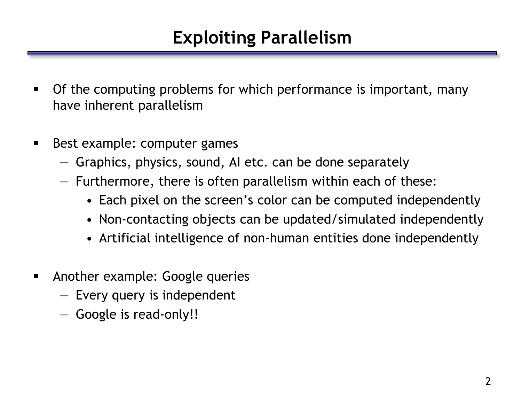# **Exploiting Parallelism**

- Of the computing problems for which performance is important, many have inherent parallelism
- **Best example: computer games** 
	- Graphics, physics, sound, AI etc. can be done separately
	- Furthermore, there is often parallelism within each of these:
		- Each pixel on the screen's color can be computed independently
		- Non-contacting objects can be updated/simulated independently
		- Artificial intelligence of non-human entities done independently
- Another example: Google queries
	- Every query is independent
	- Google is read-only!!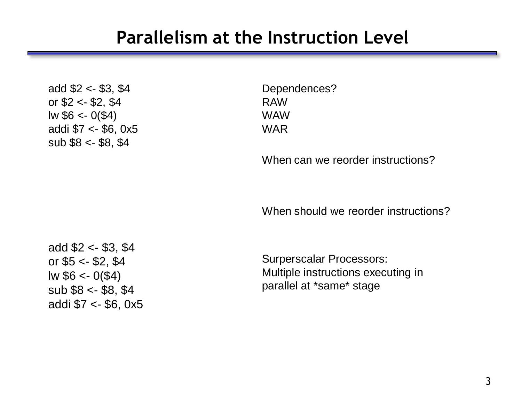#### **Parallelism at the Instruction Level**

add \$2 <- \$3, \$4 or  $$2 < - $2, $4$  $lw$  \$6 <- 0(\$4) addi \$7 <- \$6, 0x5 sub  $$8 < - $8, $4$ 

Dependences? RAW WAW WAR

When can we reorder instructions?

When should we reorder instructions?

add \$2 <- \$3, \$4 or \$5 <- \$2, \$4  $lw$  \$6 <- 0(\$4) sub \$8 <- \$8, \$4 addi \$7 <- \$6, 0x5

Surperscalar Processors: Multiple instructions executing in parallel at \*same\* stage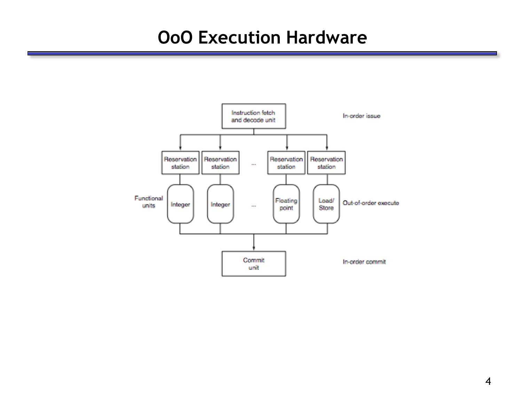#### **OoO Execution Hardware**

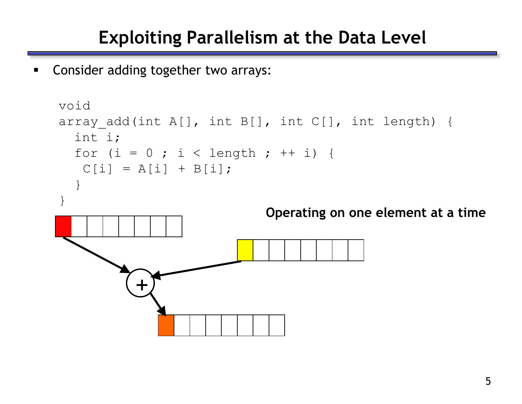#### **Exploiting Parallelism at the Data Level**

**EX Consider adding together two arrays:** 

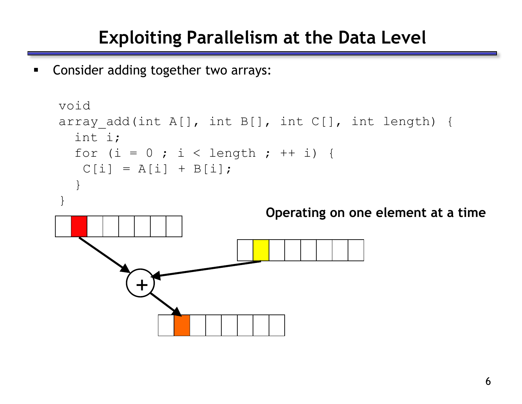#### **Exploiting Parallelism at the Data Level**

**EX Consider adding together two arrays:** 

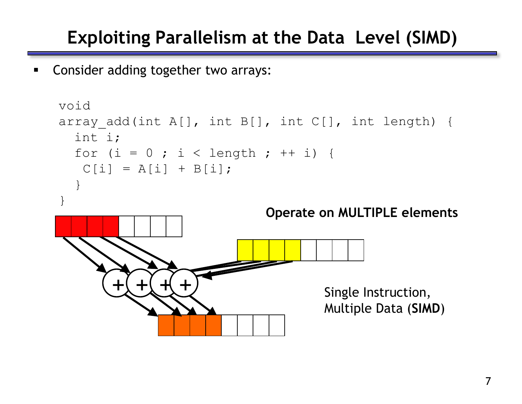# **Exploiting Parallelism at the Data Level (SIMD)**

**EXECONS CONSIDER ADDITE:** Consider adding together two arrays:

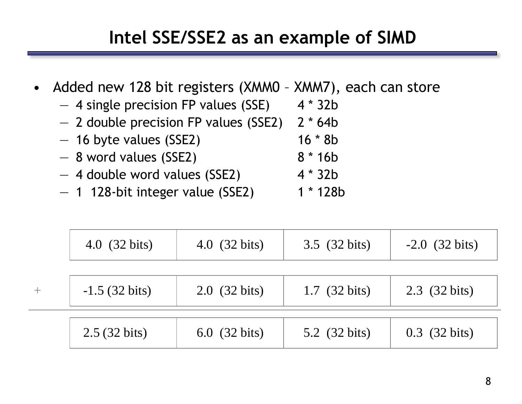# **Intel SSE/SSE2 as an example of SIMD**

- Added new 128 bit registers (XMM0 XMM7), each can store
	- 4 single precision FP values (SSE) 4 \* 32b
	- 2 double precision FP values (SSE2) 2 \* 64b
	- $-$  16 byte values (SSE2) 16  $*$  8b
	- $-8$  word values (SSE2) 8  $*$  16b
	- 4 double word values (SSE2) 4 \* 32b
	- $-$  1 128-bit integer value (SSE2) 1  $*$  128b

|      | 4.0 $(32 \text{ bits})$ | 4.0 (32 bits)           | 3.5 (32 bits)           | $-2.0$ (32 bits) |
|------|-------------------------|-------------------------|-------------------------|------------------|
| $^+$ | $-1.5$ (32 bits)        | 2.0 $(32 \text{ bits})$ | 1.7 $(32 \text{ bits})$ | 2.3 (32 bits)    |
|      | 2.5 (32 bits)           | 6.0 $(32 \text{ bits})$ | 5.2 (32 bits)           | $0.3$ (32 bits)  |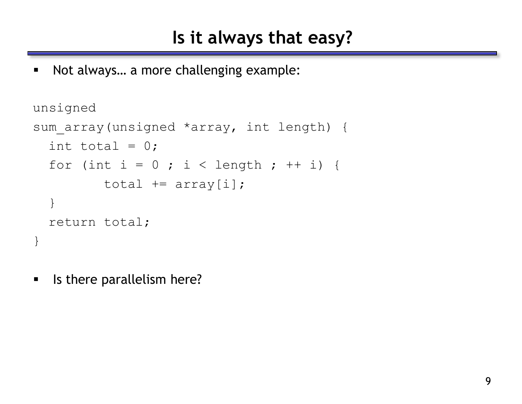■ Not always... a more challenging example:

```
unsigned 
sum array(unsigned *array, int length) {
  int total = 0;
  for (int i = 0 ; i < length ; ++ i) {
         total += array[i];
  }
  return total;
}
```
**IF It is there parallelism here?**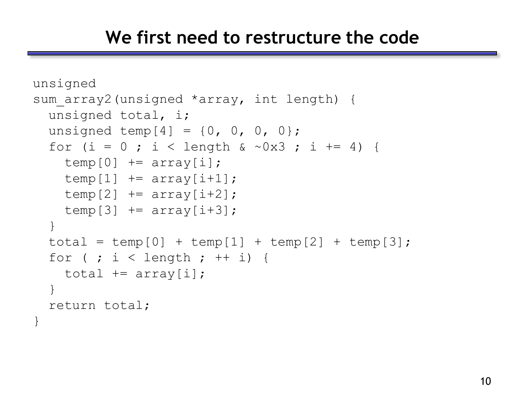#### **We first need to restructure the code**

```
unsigned
sum array2(unsigned *array, int length) {
  unsigned total, i;
  unsigned temp[4] = \{0, 0, 0, 0\};
  for (i = 0 ; i < length & \sim 0 \times 3 ; i \neq 4) {
    temp[0] += array[i];temp[1] += array[i+1];
    temp[2] += array[i+2];temp[3] += array[i+3];}
  total = temp[0] + temp[1] + temp[2] + temp[3];for ( ; i < length ; ++ i) {
    total += array[i];
  }
  return total;
```
}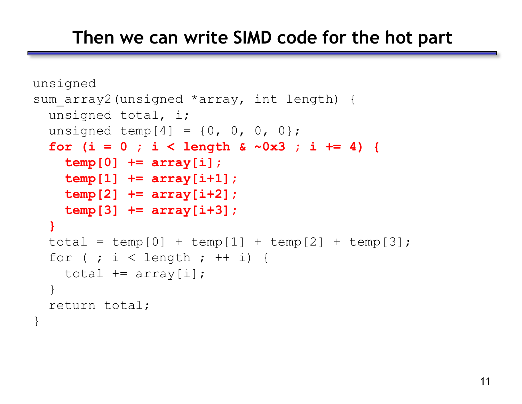#### **Then we can write SIMD code for the hot part**

```
unsigned
sum array2(unsigned *array, int length) {
 unsigned total, i;
  unsigned temp[4] = \{0, 0, 0, 0\};
  for (i = 0 ; i < length & ~0x3 ; i += 4) {
    temp[0] += array[i];
    temp[1] += array[i+1];
    temp[2] += array[i+2];
   temp[3] += array[i+3];
  }
  total = temp[0] + temp[1] + temp[2] + temp[3];for ( ; i < length ; ++ i) {
    total += array[i];
  }
  return total;
```
}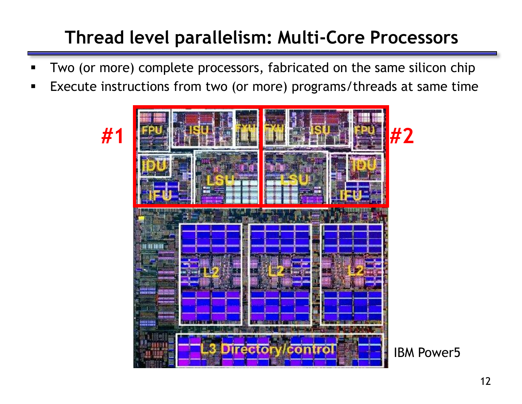# **Thread level parallelism: Multi-Core Processors**

- Two (or more) complete processors, fabricated on the same silicon chip
- **Execute instructions from two (or more) programs/threads at same time**

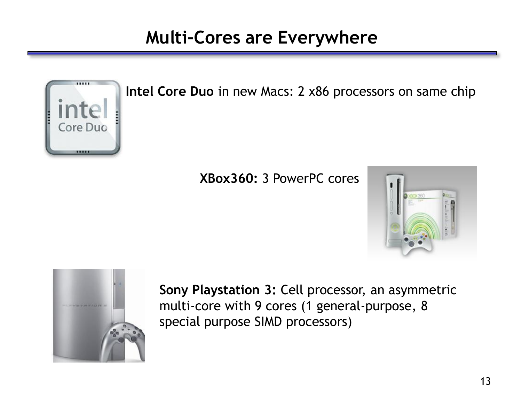## **Multi-Cores are Everywhere**



**Intel Core Duo** in new Macs: 2 x86 processors on same chip

#### **XBox360:** 3 PowerPC cores





**Sony Playstation 3:** Cell processor, an asymmetric multi-core with 9 cores (1 general-purpose, 8 special purpose SIMD processors)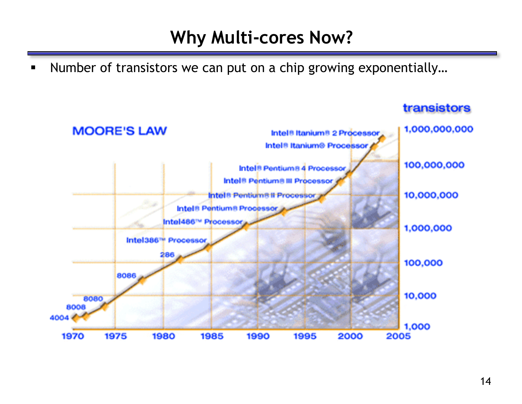## **Why Multi-cores Now?**

■ Number of transistors we can put on a chip growing exponentially...



#### transistors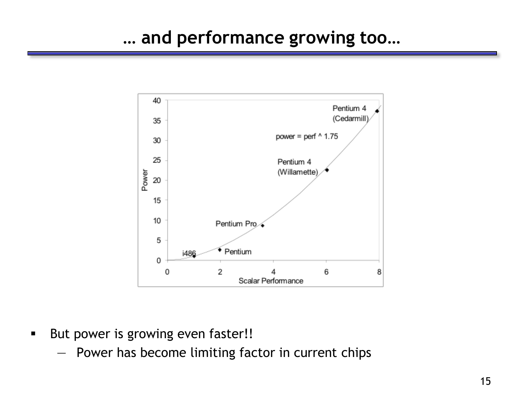

- But power is growing even faster!!
	- Power has become limiting factor in current chips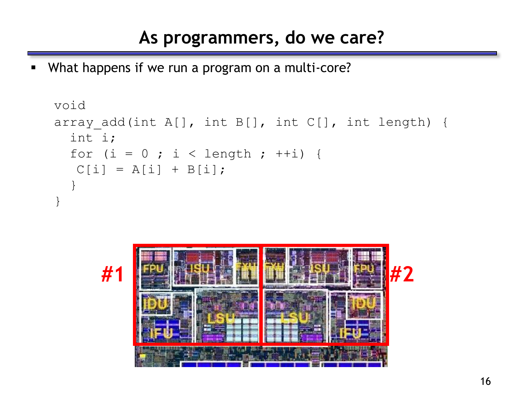## **As programmers, do we care?**

What happens if we run a program on a multi-core?

```
void
array add(int A[], int B[], int C[], int length) {
  int i;
  for (i = 0 ; i < length ; ++i) {
  C[i] = A[i] + B[i];}
}
```
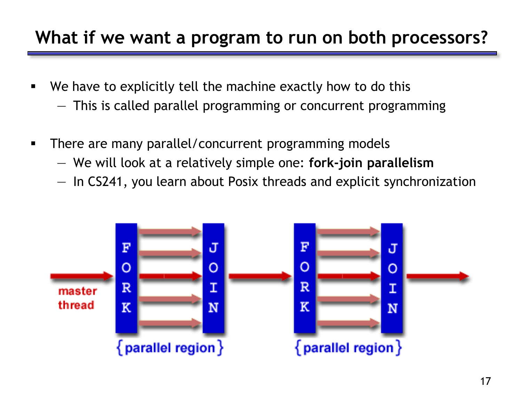## **What if we want a program to run on both processors?**

- We have to explicitly tell the machine exactly how to do this
	- This is called parallel programming or concurrent programming
- **There are many parallel/concurrent programming models** 
	- We will look at a relatively simple one: **fork-join parallelism**
	- In CS241, you learn about Posix threads and explicit synchronization

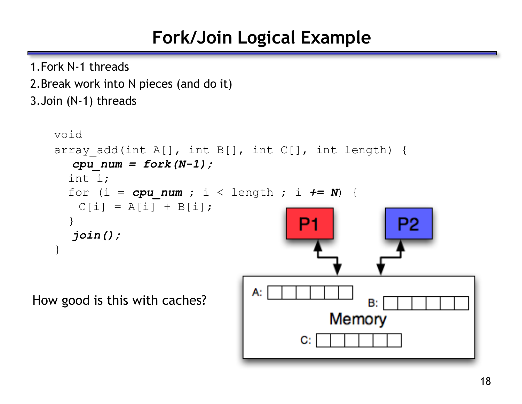# **Fork/Join Logical Example**

1.Fork N-1 threads

2.Break work into N pieces (and do it) 3.Join (N-1) threads void array add(int A[], int B[], int C[], int length) { *cpu\_num = fork(N-1);* int i; for (i =  $cpu$  num ; i < length ; i  $\leftarrow$  N) {  $C[i] = A[i] + B[i];$ } P<sub>2</sub> *join();* } А. How good is this with caches?B:

Memory

C: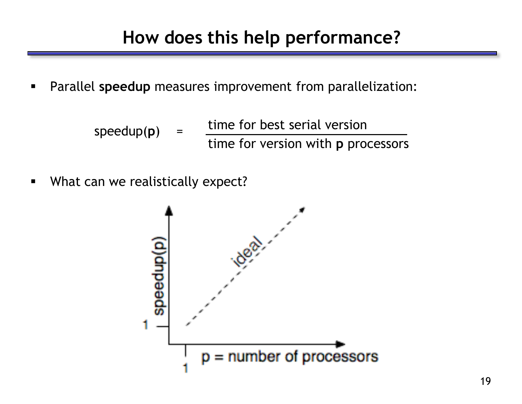- Parallel **speedup** measures improvement from parallelization:
	- time for best serial version time for version with **p** processors speedup(p)
- **What can we realistically expect?**

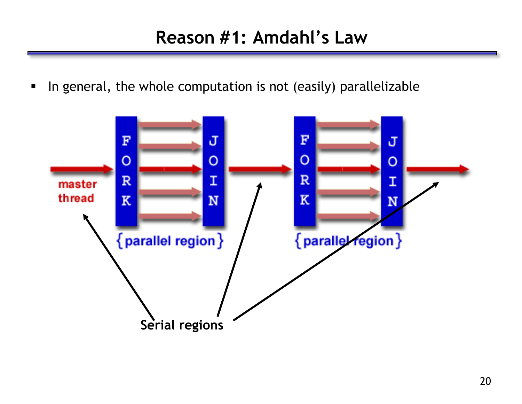#### **Reason #1: Amdahl's Law**

In general, the whole computation is not (easily) parallelizable

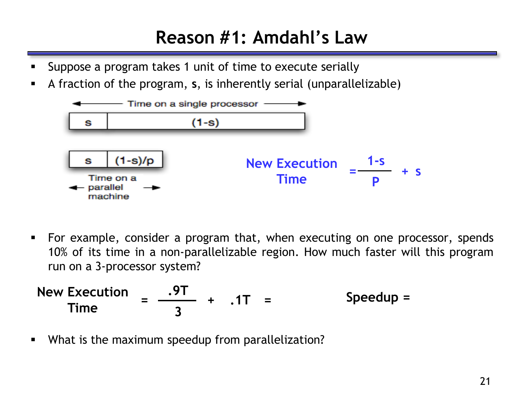## **Reason #1: Amdahl's Law**

- Suppose a program takes 1 unit of time to execute serially
- A fraction of the program, **s**, is inherently serial (unparallelizable)



 For example, consider a program that, when executing on one processor, spends 10% of its time in a non-parallelizable region. How much faster will this program run on a 3-processor system?

New Execution = 
$$
\frac{.9T}{3}
$$
 + .1T = Speedup =

What is the maximum speedup from parallelization?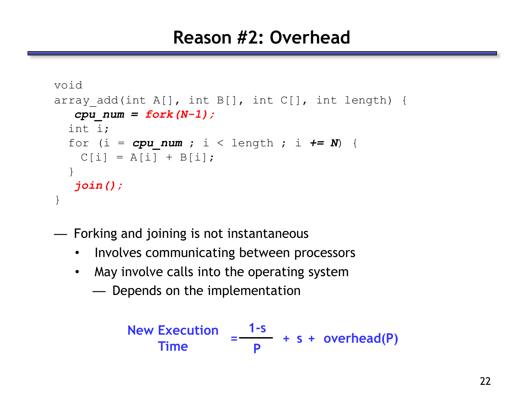#### **Reason #2: Overhead**

```
void
array add(int A[], int B[], int C[], int length) {
  cpu_num = fork(N-1);
  int i;
  for (i = cpu num ; i < length ; i \leftarrow N) {
    C[i] = A[i] + B[i];}
  join();
}
```
— Forking and joining is not instantaneous

- Involves communicating between processors
- May involve calls into the operating system
	- Depends on the implementation

New Execution  
Time 
$$
= \frac{1-s}{p} + s + overhead(P)
$$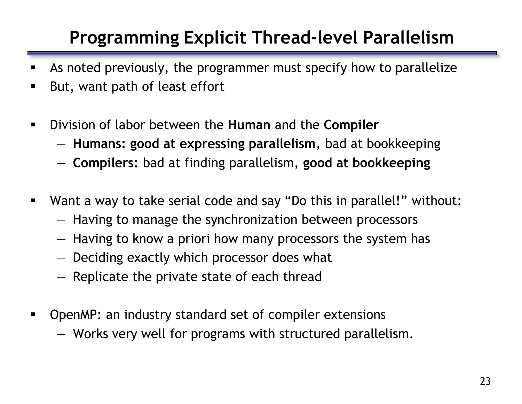# **Programming Explicit Thread-level Parallelism**

- As noted previously, the programmer must specify how to parallelize
- But, want path of least effort
- Division of labor between the **Human** and the **Compiler**
	- **Humans: good at expressing parallelism**, bad at bookkeeping
	- **Compilers:** bad at finding parallelism, **good at bookkeeping**
- Want a way to take serial code and say "Do this in parallel!" without:
	- Having to manage the synchronization between processors
	- Having to know a priori how many processors the system has
	- Deciding exactly which processor does what
	- Replicate the private state of each thread
- OpenMP: an industry standard set of compiler extensions
	- Works very well for programs with structured parallelism.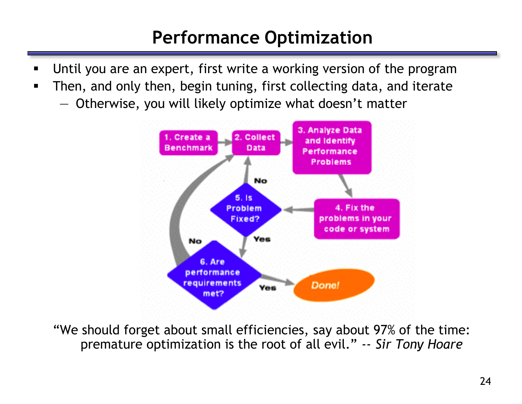# **Performance Optimization**

- Until you are an expert, first write a working version of the program
- Then, and only then, begin tuning, first collecting data, and iterate
	- Otherwise, you will likely optimize what doesn't matter



"We should forget about small efficiencies, say about 97% of the time: premature optimization is the root of all evil.‖ *-- Sir Tony Hoare*